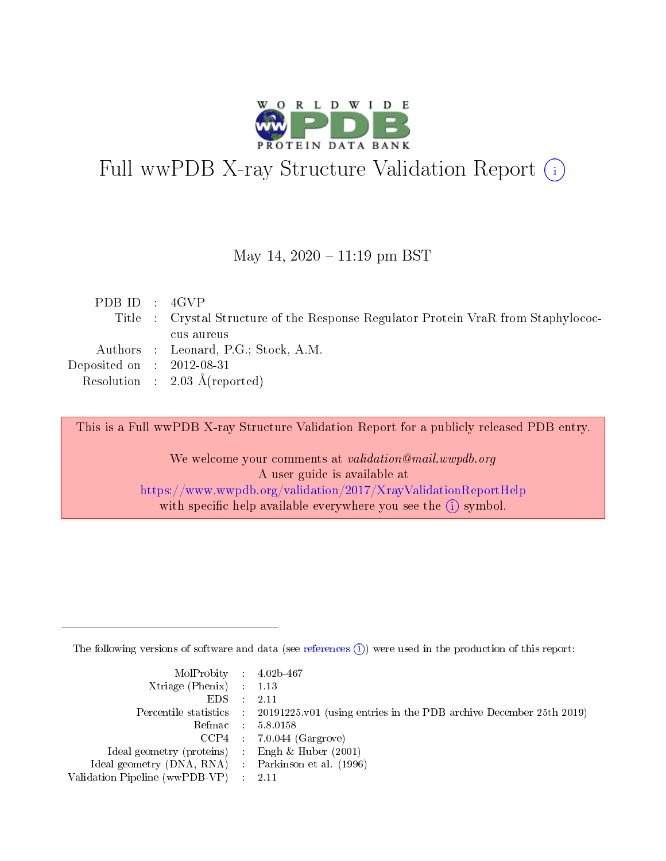

# Full wwPDB X-ray Structure Validation Report (i)

May 14,  $2020 - 11:19$  pm BST

| PDBID : 4GVP                |                                                                                    |
|-----------------------------|------------------------------------------------------------------------------------|
|                             | Title : Crystal Structure of the Response Regulator Protein VraR from Staphylococ- |
|                             | cus aureus                                                                         |
|                             | Authors : Leonard, P.G.; Stock, A.M.                                               |
| Deposited on : $2012-08-31$ |                                                                                    |
|                             | Resolution : $2.03 \text{ Å}$ (reported)                                           |
|                             |                                                                                    |

This is a Full wwPDB X-ray Structure Validation Report for a publicly released PDB entry.

We welcome your comments at validation@mail.wwpdb.org A user guide is available at <https://www.wwpdb.org/validation/2017/XrayValidationReportHelp> with specific help available everywhere you see the  $(i)$  symbol.

The following versions of software and data (see [references](https://www.wwpdb.org/validation/2017/XrayValidationReportHelp#references)  $(i)$ ) were used in the production of this report:

| $MolProbability$ 4.02b-467                          |                                                                                            |
|-----------------------------------------------------|--------------------------------------------------------------------------------------------|
| Xtriage (Phenix) $: 1.13$                           |                                                                                            |
| $EDS$ :                                             | -2.11                                                                                      |
|                                                     | Percentile statistics : 20191225.v01 (using entries in the PDB archive December 25th 2019) |
|                                                     | Refmac : 5.8.0158                                                                          |
|                                                     | $CCP4$ : 7.0.044 (Gargrove)                                                                |
| Ideal geometry (proteins) : Engh $\&$ Huber (2001)  |                                                                                            |
| Ideal geometry (DNA, RNA) : Parkinson et al. (1996) |                                                                                            |
| Validation Pipeline (wwPDB-VP)                      | -2.11                                                                                      |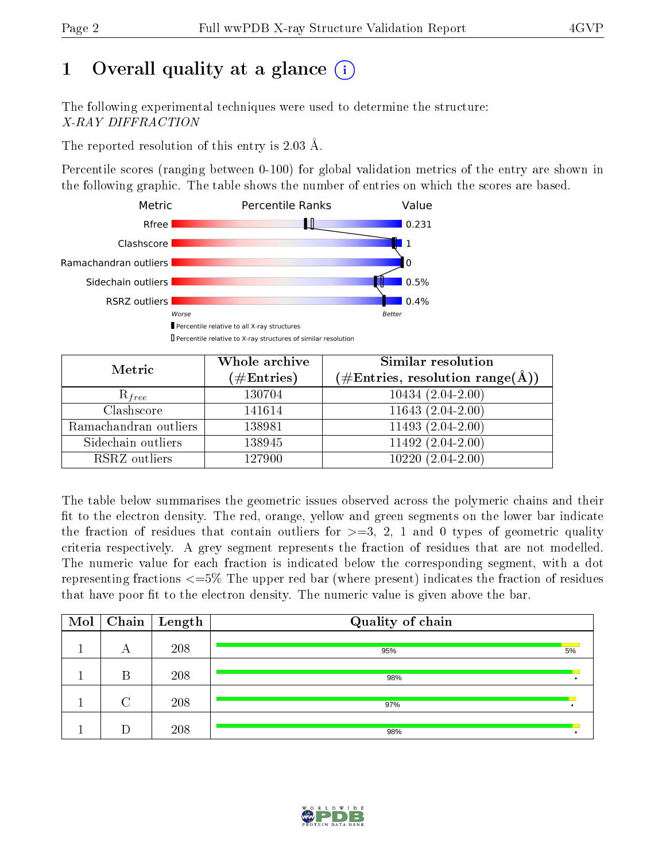# 1 [O](https://www.wwpdb.org/validation/2017/XrayValidationReportHelp#overall_quality)verall quality at a glance  $(i)$

The following experimental techniques were used to determine the structure: X-RAY DIFFRACTION

The reported resolution of this entry is 2.03 Å.

Percentile scores (ranging between 0-100) for global validation metrics of the entry are shown in the following graphic. The table shows the number of entries on which the scores are based.



| Metric                | Whole archive<br>$(\#\text{Entries})$ | Similar resolution<br>$(\#\text{Entries}, \text{resolution range}(\textup{\AA}))$ |  |  |
|-----------------------|---------------------------------------|-----------------------------------------------------------------------------------|--|--|
| $R_{free}$            | 130704                                | $10434(2.04-2.00)$                                                                |  |  |
| Clashscore            | 141614                                | $11643(2.04-2.00)$                                                                |  |  |
| Ramachandran outliers | 138981                                | $11493(2.04-2.00)$                                                                |  |  |
| Sidechain outliers    | 138945                                | $11492(2.04-2.00)$                                                                |  |  |
| RSRZ outliers         | 127900                                | $(2.04 - 2.00)$<br>10220                                                          |  |  |

The table below summarises the geometric issues observed across the polymeric chains and their fit to the electron density. The red, orange, yellow and green segments on the lower bar indicate the fraction of residues that contain outliers for  $>=3, 2, 1$  and 0 types of geometric quality criteria respectively. A grey segment represents the fraction of residues that are not modelled. The numeric value for each fraction is indicated below the corresponding segment, with a dot representing fractions  $\epsilon=5\%$  The upper red bar (where present) indicates the fraction of residues that have poor fit to the electron density. The numeric value is given above the bar.

| Mol |        | $\boxed{\text{Chain}}$ Length | Quality of chain |    |
|-----|--------|-------------------------------|------------------|----|
|     | A      | 208                           | 95%              | 5% |
|     | В      | 208                           | 98%              |    |
|     | $\cap$ | 208                           | 97%              |    |
|     |        | 208                           | 98%              |    |

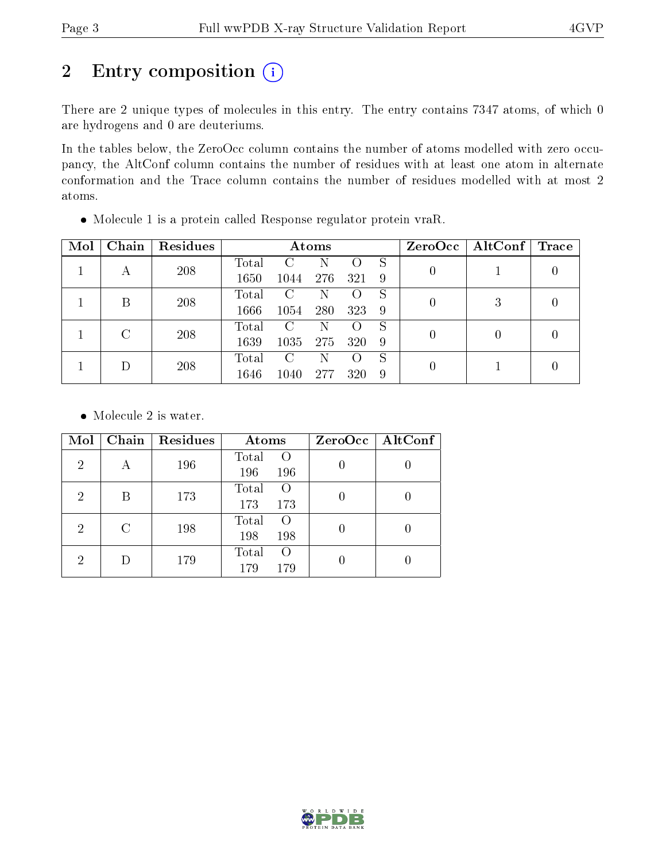# 2 Entry composition (i)

There are 2 unique types of molecules in this entry. The entry contains 7347 atoms, of which 0 are hydrogens and 0 are deuteriums.

In the tables below, the ZeroOcc column contains the number of atoms modelled with zero occupancy, the AltConf column contains the number of residues with at least one atom in alternate conformation and the Trace column contains the number of residues modelled with at most 2 atoms.

| Mol | Chain | Residues | Atoms |      |                  |     |   |   | $ZeroOcc$   AltConf | $\operatorname{Trace}$ |
|-----|-------|----------|-------|------|------------------|-----|---|---|---------------------|------------------------|
|     |       | 208      | Total | C    | Ν                |     | S |   |                     |                        |
|     | А     |          | 1650  | 1044 | 276              | 321 | 9 |   |                     |                        |
|     | В     | 208      | Total | C    | Ν                |     | S | 0 | 3                   |                        |
|     |       |          | 1666  | 1054 | 280              | 323 | 9 |   |                     |                        |
|     | C     | 208      | Total | C    | Ν                |     | S |   | $\left( \right)$    |                        |
|     |       |          | 1639  | 1035 | 275              | 320 | 9 | 0 |                     |                        |
|     | 208   | Total    | C     | Ν    | $\left( \right)$ | S   | 0 |   |                     |                        |
|     |       | 1646     | 1040  | 277  | 320              | 9   |   |   |                     |                        |

Molecule 1 is a protein called Response regulator protein vraR.

• Molecule 2 is water.

| Mol            | Chain | Residues | Atoms                                   | ZeroOcc   AltConf |
|----------------|-------|----------|-----------------------------------------|-------------------|
| $\overline{2}$ | А     | 196      | Total<br>$\circ$<br>196<br>196          |                   |
| 2              | В     | 173      | Total<br>$\Omega$<br>173<br>173         |                   |
| $\overline{2}$ | C     | 198      | Total<br>$\left($<br>198<br>198         |                   |
| 2              |       | 179      | Total<br>$\left( \right)$<br>179<br>179 |                   |

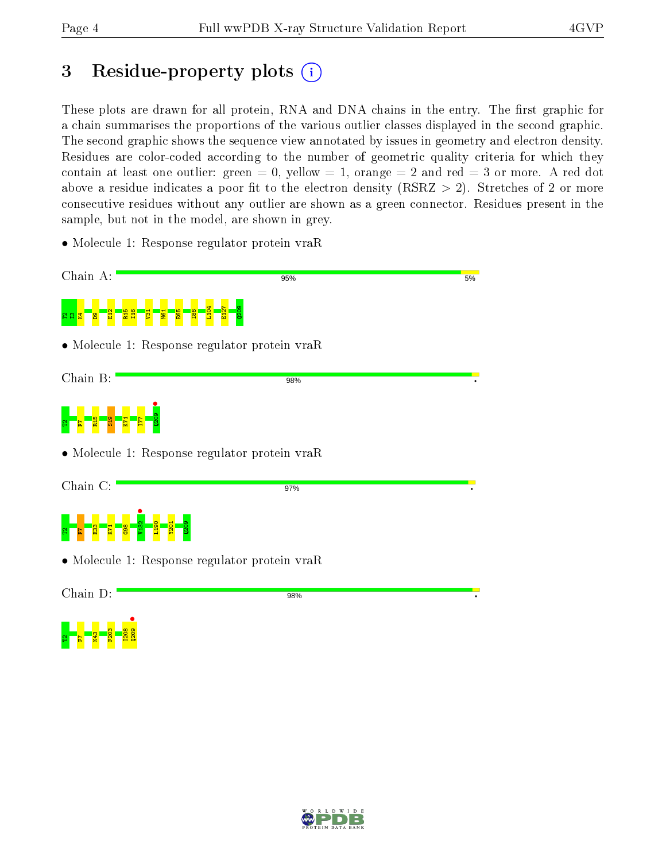# 3 Residue-property plots  $(i)$

These plots are drawn for all protein, RNA and DNA chains in the entry. The first graphic for a chain summarises the proportions of the various outlier classes displayed in the second graphic. The second graphic shows the sequence view annotated by issues in geometry and electron density. Residues are color-coded according to the number of geometric quality criteria for which they contain at least one outlier: green  $= 0$ , yellow  $= 1$ , orange  $= 2$  and red  $= 3$  or more. A red dot above a residue indicates a poor fit to the electron density (RSRZ  $> 2$ ). Stretches of 2 or more consecutive residues without any outlier are shown as a green connector. Residues present in the sample, but not in the model, are shown in grey.

• Molecule 1: Response regulator protein vraR





• Molecule 1: Response regulator protein vraR

Chain D:

98%



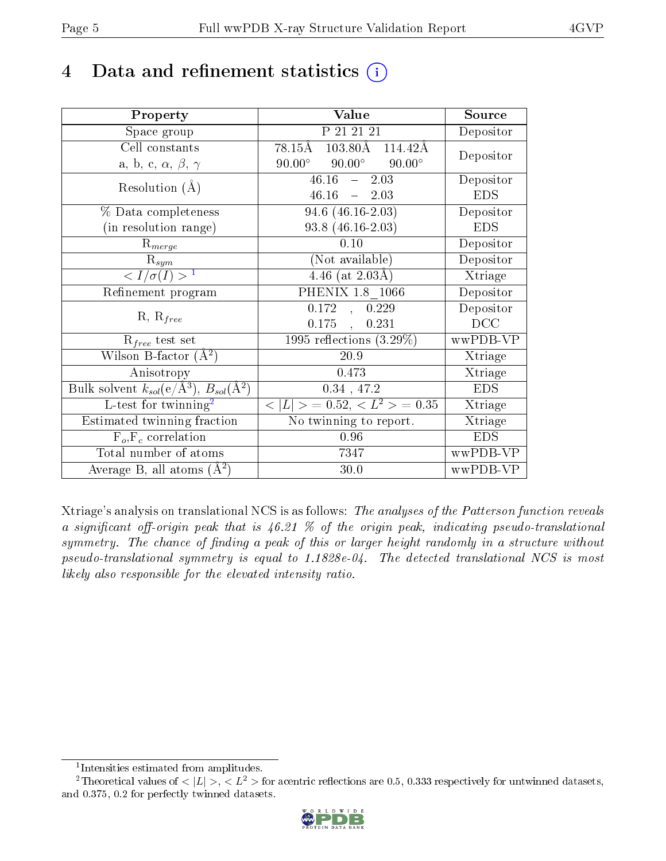## 4 Data and refinement statistics  $(i)$

| Property                                                         | Value                                             | Source                       |
|------------------------------------------------------------------|---------------------------------------------------|------------------------------|
| Space group                                                      | P 21 21 21                                        | Depositor                    |
| Cell constants                                                   | $103.80\text{\AA}$<br>78.15Å<br>114.42Å           | Depositor                    |
| a, b, c, $\alpha$ , $\beta$ , $\gamma$                           | $90.00^\circ$<br>$90.00^{\circ}$<br>$90.00^\circ$ |                              |
| Resolution $(A)$                                                 | $46.16 -$<br>2.03                                 | Depositor                    |
|                                                                  | $46.16 = 2.03$                                    | <b>EDS</b>                   |
| % Data completeness                                              | 94.6 $(46.16-2.03)$                               | Depositor                    |
| (in resolution range)                                            | $93.8(46.16-2.03)$                                | <b>EDS</b>                   |
| $R_{merge}$                                                      | 0.10                                              | Depositor                    |
| $\mathrm{R}_{sym}$                                               | (Not available)                                   | Depositor                    |
| $\sqrt{I/\sigma(I)} > 1$                                         | $4.46$ (at $2.03\text{\AA}$ )                     | $\overline{\text{X}}$ triage |
| Refinement program                                               | PHENIX 1.8 1066                                   | Depositor                    |
| $R, R_{free}$                                                    | 0.172<br>0.229<br>$\overline{A}$                  | Depositor                    |
|                                                                  | $0.175$ ,<br>0.231                                | DCC                          |
| $R_{free}$ test set                                              | $1995$ reflections $(3.29\%)$                     | wwPDB-VP                     |
| Wilson B-factor $(A^2)$                                          | 20.9                                              | Xtriage                      |
| Anisotropy                                                       | 0.473                                             | Xtriage                      |
| Bulk solvent $k_{sol}(\text{e}/\text{A}^3), B_{sol}(\text{A}^2)$ | $0.34$ , 47.2                                     | <b>EDS</b>                   |
| L-test for twinning <sup>2</sup>                                 | $\overline{< L >$ = 0.52, $\overline{}$ = 0.35    | Xtriage                      |
| Estimated twinning fraction                                      | No twinning to report.                            | Xtriage                      |
| $\overline{F_o}, \overline{F_c}$ correlation                     | 0.96                                              | <b>EDS</b>                   |
| Total number of atoms                                            | 7347                                              | wwPDB-VP                     |
| Average B, all atoms $(A^2)$                                     | 30.0                                              | wwPDB-VP                     |

Xtriage's analysis on translational NCS is as follows: The analyses of the Patterson function reveals a significant off-origin peak that is  $46.21\%$  of the origin peak, indicating pseudo-translational symmetry. The chance of finding a peak of this or larger height randomly in a structure without pseudo-translational symmetry is equal to 1.1828e-04. The detected translational NCS is most likely also responsible for the elevated intensity ratio.

<sup>&</sup>lt;sup>2</sup>Theoretical values of  $\langle |L| \rangle$ ,  $\langle L^2 \rangle$  for acentric reflections are 0.5, 0.333 respectively for untwinned datasets, and 0.375, 0.2 for perfectly twinned datasets.



<span id="page-4-1"></span><span id="page-4-0"></span><sup>1</sup> Intensities estimated from amplitudes.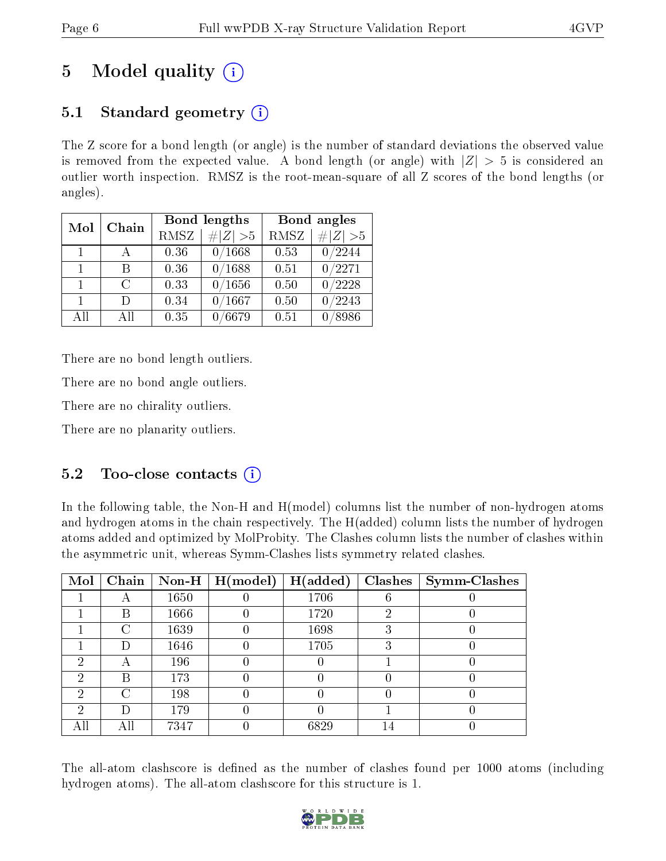## 5 Model quality  $(i)$

## 5.1 Standard geometry  $(i)$

The Z score for a bond length (or angle) is the number of standard deviations the observed value is removed from the expected value. A bond length (or angle) with  $|Z| > 5$  is considered an outlier worth inspection. RMSZ is the root-mean-square of all Z scores of the bond lengths (or angles).

| Mol            | Chain  |      | Bond lengths  | Bond angles |             |  |
|----------------|--------|------|---------------|-------------|-------------|--|
|                |        | RMSZ | $\# Z  > 5$   | <b>RMSZ</b> | $\ Z\  > 5$ |  |
| $\overline{1}$ |        | 0.36 | 0/1668        | 0.53        | 0/2244      |  |
| $\mathbf{1}$   | R      | 0.36 | 0/1688        | 0.51        | 0/2271      |  |
| $\mathbf{1}$   | $\cap$ | 0.33 | 0/1656        | 0.50        | 0/2228      |  |
| $\mathbf{1}$   | $\Box$ | 0.34 | 0/1667        | 0.50        | 0/2243      |  |
| AH             | A 11   | 0.35 | $\sqrt{6679}$ | 0.51        | 8986        |  |

There are no bond length outliers.

There are no bond angle outliers.

There are no chirality outliers.

There are no planarity outliers.

### 5.2 Too-close contacts  $\overline{()}$

In the following table, the Non-H and H(model) columns list the number of non-hydrogen atoms and hydrogen atoms in the chain respectively. The H(added) column lists the number of hydrogen atoms added and optimized by MolProbity. The Clashes column lists the number of clashes within the asymmetric unit, whereas Symm-Clashes lists symmetry related clashes.

| Mol |     |      | $\fbox{Chain}$ Non-H   H(model) | $\mid$ H(added) |   | Clashes   Symm-Clashes |
|-----|-----|------|---------------------------------|-----------------|---|------------------------|
|     |     | 1650 |                                 | 1706            |   |                        |
|     | В   | 1666 |                                 | 1720            | റ |                        |
|     | C   | 1639 |                                 | 1698            |   |                        |
|     | Ð   | 1646 |                                 | 1705            |   |                        |
| ച   | А   | 196  |                                 |                 |   |                        |
| 2   | В   | 173  |                                 |                 |   |                        |
| 2   | C   | 198  |                                 |                 |   |                        |
| ച   | D   | 179  |                                 |                 |   |                        |
| All | Αll | 7347 |                                 | 6829            |   |                        |

The all-atom clashscore is defined as the number of clashes found per 1000 atoms (including hydrogen atoms). The all-atom clashscore for this structure is 1.

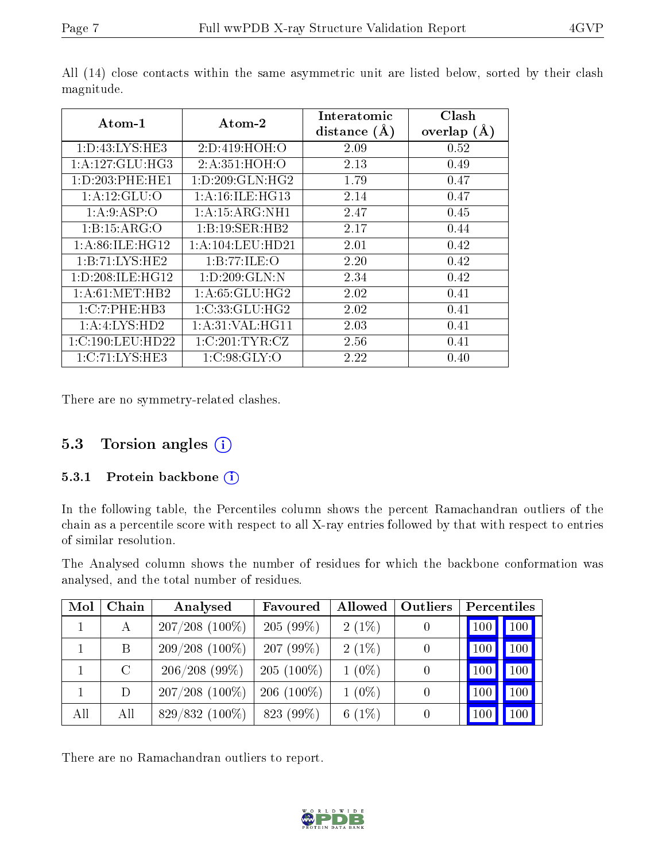| $\rm{Atom\text{-}1}$     | Atom-2               | Interatomic<br>distance $(A)$ | Clash<br>overlap $(A)$ |
|--------------------------|----------------------|-------------------------------|------------------------|
| 1: D: 43: LYS: HE3       | 2:D:419:HOH:O        | 2.09                          | 0.52                   |
| 1: A: 127: GLU: HG3      | 2:A:351:HOH:O        | 2.13                          | 0.49                   |
| 1: D: 203: PHE: HE1      | 1: D: 209: GLN: HG2  | 1.79                          | 0.47                   |
| 1:A:12:GLU:O             | 1: A:16: ILE: HG13   | 2.14                          | 0.47                   |
| 1: A:9: ASP:O            | 1:A:15:ARG:NH1       | 2.47                          | 0.45                   |
| 1:B:15:ARG:O             | 1:B:19:SER:HB2       | 2.17                          | 0.44                   |
| 1: A:86: ILE: HG12       | 1: A: 104: LEU: HD21 | 2.01                          | 0.42                   |
| 1:B:71:LYS:HE2           | 1:B:77:ILE:O         | 2.20                          | 0.42                   |
| 1: D: 208: ILE: HG12     | 1:D:209:GLN:N        | 2.34                          | 0.42                   |
| 1: A:61: MET:HB2         | 1: A:65: GLU:HG2     | 2.02                          | 0.41                   |
| 1:C:7:PHE:HB3            | 1:C:33:GLU:HG2       | 2.02                          | 0.41                   |
| $1:A:LYS:\overline{HD2}$ | 1: A:31: VAL:HGI1    | 2.03                          | 0.41                   |
| 1:C:190:LEU:HD22         | 1:C:201:TYR:CZ       | 2.56                          | 0.41                   |
| 1:C:71:LYS:HE3           | 1:C:98:GLY:O         | 2.22                          | 0.40                   |

All (14) close contacts within the same asymmetric unit are listed below, sorted by their clash magnitude.

There are no symmetry-related clashes.

#### 5.3 Torsion angles (i)

#### 5.3.1 Protein backbone (i)

In the following table, the Percentiles column shows the percent Ramachandran outliers of the chain as a percentile score with respect to all X-ray entries followed by that with respect to entries of similar resolution.

The Analysed column shows the number of residues for which the backbone conformation was analysed, and the total number of residues.

| Mol | Chain   | Analysed         | Favoured     | Allowed  | Outliers | Percentiles |                     |
|-----|---------|------------------|--------------|----------|----------|-------------|---------------------|
|     | A       | $207/208$ (100%) | $205(99\%)$  | $2(1\%)$ |          | 100         | $\vert$ 100 $\vert$ |
|     | B       | $209/208(100\%)$ | $207(99\%)$  | $2(1\%)$ |          | 100         | 100                 |
|     | $\rm C$ | 206/208(99%)     | $205(100\%)$ | $1(0\%)$ |          | 100         | 100                 |
|     | D       | $207/208$ (100%) | $206(100\%)$ | $1(0\%)$ |          | 100         | 100                 |
| All | All     | $829/832(100\%)$ | 823 (99%)    | 6 $(1%)$ |          | 100         | 100 <sup>1</sup>    |

There are no Ramachandran outliers to report.

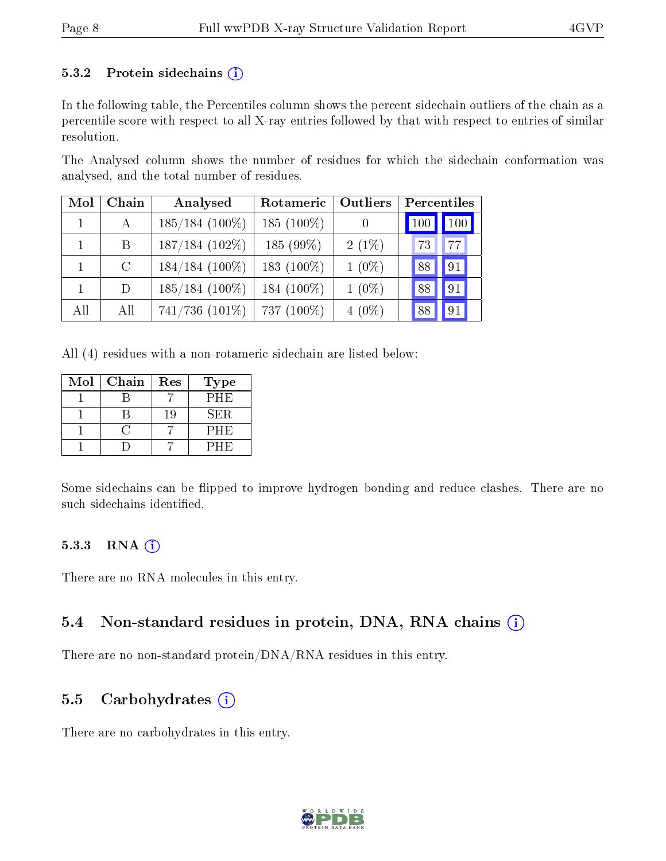#### 5.3.2 Protein sidechains  $(i)$

In the following table, the Percentiles column shows the percent sidechain outliers of the chain as a percentile score with respect to all X-ray entries followed by that with respect to entries of similar resolution.

The Analysed column shows the number of residues for which the sidechain conformation was analysed, and the total number of residues.

| Mol          | Chain         | Analysed            | Rotameric     | <b>Outliers</b> |     | Percentiles |
|--------------|---------------|---------------------|---------------|-----------------|-----|-------------|
|              | $\mathbf{A}$  | $185/184$ (100%)    | $185(100\%)$  |                 | 100 | 100         |
| $\mathbf{1}$ | B             | $187/184$ (102\%)   | $185(99\%)$   | $2(1\%)$        | 73  | 77          |
|              | $\mathcal{C}$ | $184/184$ (100%)    | 183 $(100\%)$ | $1(0\%)$        | 88  | 91          |
|              | D             | $185/184$ (100%)    | 184 $(100\%)$ | $1(0\%)$        | 88  | 91          |
| All          | All           | $741/736$ $(101\%)$ | 737 (100%)    | $4(0\%)$        | 88  | 91          |

All (4) residues with a non-rotameric sidechain are listed below:

| Mol | Chain | Res | Type        |
|-----|-------|-----|-------------|
|     |       |     | PHE         |
|     |       | 19  | ${\rm SER}$ |
|     |       |     | PHE         |
|     |       |     | PHE)        |

Some sidechains can be flipped to improve hydrogen bonding and reduce clashes. There are no such sidechains identified.

#### 5.3.3 RNA (i)

There are no RNA molecules in this entry.

#### 5.4 Non-standard residues in protein, DNA, RNA chains  $(i)$

There are no non-standard protein/DNA/RNA residues in this entry.

#### 5.5 Carbohydrates  $(i)$

There are no carbohydrates in this entry.

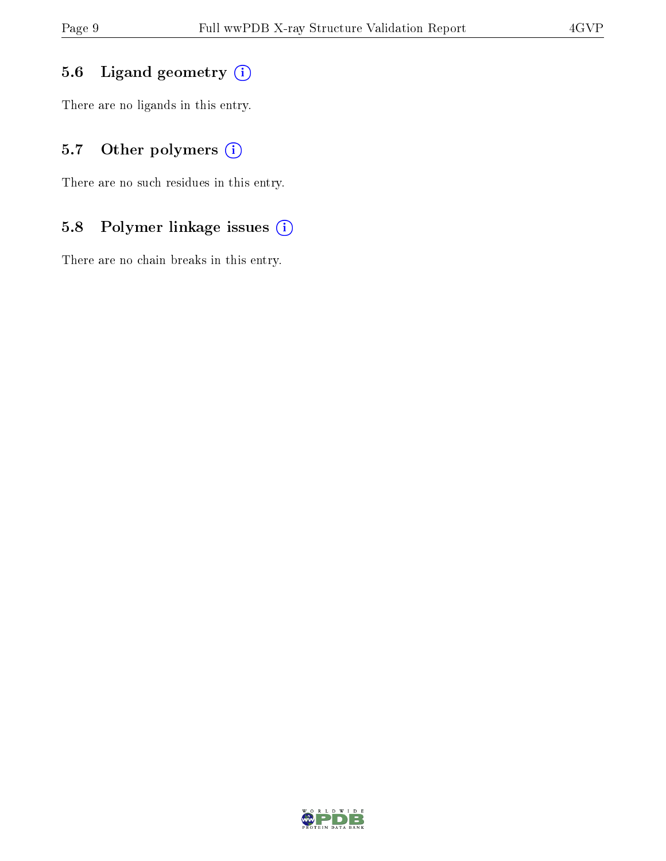### 5.6 Ligand geometry (i)

There are no ligands in this entry.

### 5.7 [O](https://www.wwpdb.org/validation/2017/XrayValidationReportHelp#nonstandard_residues_and_ligands)ther polymers (i)

There are no such residues in this entry.

### 5.8 Polymer linkage issues (i)

There are no chain breaks in this entry.